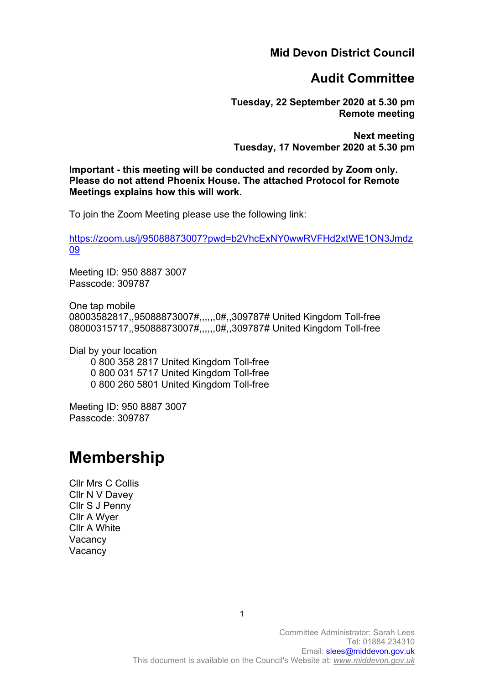**Mid Devon District Council**

# **Audit Committee**

**Tuesday, 22 September 2020 at 5.30 pm Remote meeting**

**Next meeting Tuesday, 17 November 2020 at 5.30 pm**

**Important - this meeting will be conducted and recorded by Zoom only. Please do not attend Phoenix House. The attached Protocol for Remote Meetings explains how this will work.**

To join the Zoom Meeting please use the following link:

[https://zoom.us/j/95088873007?pwd=b2VhcExNY0wwRVFHd2xtWE1ON3Jmdz](https://zoom.us/j/95088873007?pwd=b2VhcExNY0wwRVFHd2xtWE1ON3Jmdz09) [09](https://zoom.us/j/95088873007?pwd=b2VhcExNY0wwRVFHd2xtWE1ON3Jmdz09)

Meeting ID: 950 8887 3007 Passcode: 309787

One tap mobile 08003582817,,95088873007#,,,,,,0#,,309787# United Kingdom Toll-free 08000315717,,95088873007#,,,,,,0#,,309787# United Kingdom Toll-free

Dial by your location

 0 800 358 2817 United Kingdom Toll-free 0 800 031 5717 United Kingdom Toll-free 0 800 260 5801 United Kingdom Toll-free

Meeting ID: 950 8887 3007 Passcode: 309787

# **Membership**

Cllr Mrs C Collis Cllr N V Davey Cllr S J Penny Cllr A Wyer Cllr A White **Vacancy Vacancy** 

1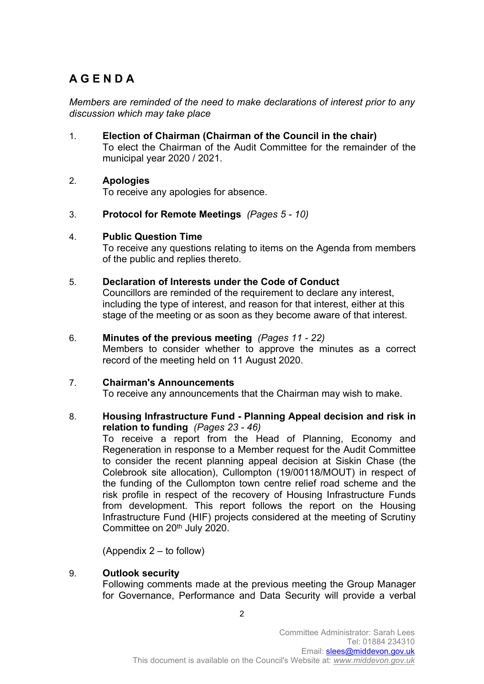# **A G E N D A**

*Members are reminded of the need to make declarations of interest prior to any discussion which may take place*

1. **Election of Chairman (Chairman of the Council in the chair)**  To elect the Chairman of the Audit Committee for the remainder of the municipal year 2020 / 2021.

# 2. **Apologies**

To receive any apologies for absence.

3. **Protocol for Remote Meetings** *(Pages 5 - 10)*

# 4. **Public Question Time**

To receive any questions relating to items on the Agenda from members of the public and replies thereto.

#### 5. **Declaration of Interests under the Code of Conduct**

Councillors are reminded of the requirement to declare any interest, including the type of interest, and reason for that interest, either at this stage of the meeting or as soon as they become aware of that interest.

#### 6. **Minutes of the previous meeting** *(Pages 11 - 22)*

Members to consider whether to approve the minutes as a correct record of the meeting held on 11 August 2020.

# 7. **Chairman's Announcements**

To receive any announcements that the Chairman may wish to make.

#### 8. **Housing Infrastructure Fund - Planning Appeal decision and risk in relation to funding** *(Pages 23 - 46)*

To receive a report from the Head of Planning, Economy and Regeneration in response to a Member request for the Audit Committee to consider the recent planning appeal decision at Siskin Chase (the Colebrook site allocation), Cullompton (19/00118/MOUT) in respect of the funding of the Cullompton town centre relief road scheme and the risk profile in respect of the recovery of Housing Infrastructure Funds from development. This report follows the report on the Housing Infrastructure Fund (HIF) projects considered at the meeting of Scrutiny Committee on 20<sup>th</sup> July 2020.

(Appendix 2 – to follow)

#### 9. **Outlook security**

Following comments made at the previous meeting the Group Manager for Governance, Performance and Data Security will provide a verbal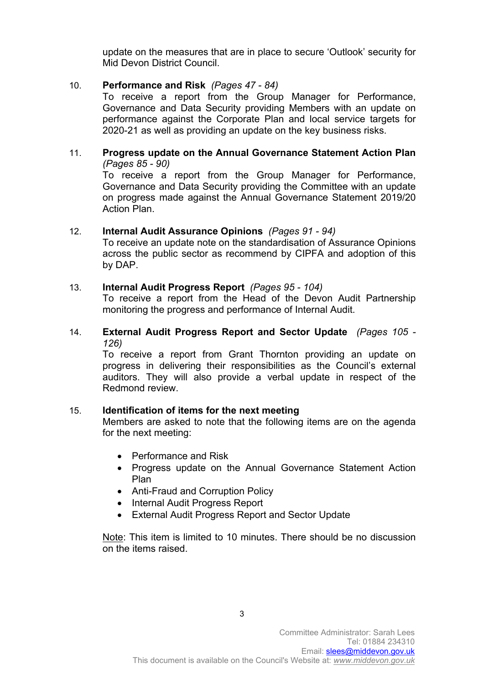update on the measures that are in place to secure 'Outlook' security for Mid Devon District Council.

# 10. **Performance and Risk** *(Pages 47 - 84)*

To receive a report from the Group Manager for Performance, Governance and Data Security providing Members with an update on performance against the Corporate Plan and local service targets for 2020-21 as well as providing an update on the key business risks.

# 11. **Progress update on the Annual Governance Statement Action Plan**  *(Pages 85 - 90)*

To receive a report from the Group Manager for Performance, Governance and Data Security providing the Committee with an update on progress made against the Annual Governance Statement 2019/20 Action Plan.

# 12. **Internal Audit Assurance Opinions** *(Pages 91 - 94)*

To receive an update note on the standardisation of Assurance Opinions across the public sector as recommend by CIPFA and adoption of this by DAP.

#### 13. **Internal Audit Progress Report** *(Pages 95 - 104)*

To receive a report from the Head of the Devon Audit Partnership monitoring the progress and performance of Internal Audit.

#### 14. **External Audit Progress Report and Sector Update** *(Pages 105 - 126)*

To receive a report from Grant Thornton providing an update on progress in delivering their responsibilities as the Council's external auditors. They will also provide a verbal update in respect of the Redmond review.

# 15. **Identification of items for the next meeting**

Members are asked to note that the following items are on the agenda for the next meeting:

- Performance and Risk
- Progress update on the Annual Governance Statement Action Plan
- Anti-Fraud and Corruption Policy
- Internal Audit Progress Report
- External Audit Progress Report and Sector Update

Note: This item is limited to 10 minutes. There should be no discussion on the items raised.